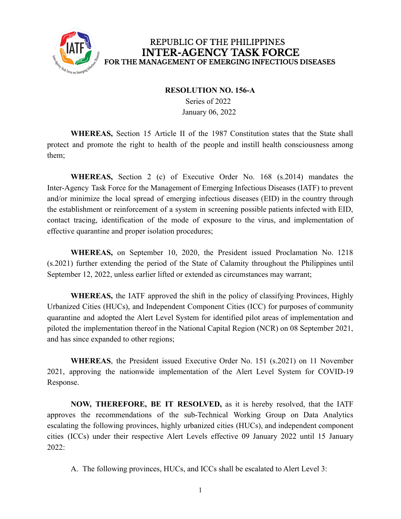

## REPUBLIC OF THE PHILIPPINES **INTER-AGENCY TASK FORCE** FOR THE MANAGEMENT OF EMERGING INFECTIOUS DISEASES

## **RESOLUTION NO. 156-A**

Series of 2022 January 06, 2022

**WHEREAS,** Section 15 Article II of the 1987 Constitution states that the State shall protect and promote the right to health of the people and instill health consciousness among them;

**WHEREAS,** Section 2 (c) of Executive Order No. 168 (s.2014) mandates the Inter-Agency Task Force for the Management of Emerging Infectious Diseases (IATF) to prevent and/or minimize the local spread of emerging infectious diseases (EID) in the country through the establishment or reinforcement of a system in screening possible patients infected with EID, contact tracing, identification of the mode of exposure to the virus, and implementation of effective quarantine and proper isolation procedures;

**WHEREAS,** on September 10, 2020, the President issued Proclamation No. 1218 (s.2021) further extending the period of the State of Calamity throughout the Philippines until September 12, 2022, unless earlier lifted or extended as circumstances may warrant;

**WHEREAS,** the IATF approved the shift in the policy of classifying Provinces, Highly Urbanized Cities (HUCs), and Independent Component Cities (ICC) for purposes of community quarantine and adopted the Alert Level System for identified pilot areas of implementation and piloted the implementation thereof in the National Capital Region (NCR) on 08 September 2021, and has since expanded to other regions;

**WHEREAS**, the President issued Executive Order No. 151 (s.2021) on 11 November 2021, approving the nationwide implementation of the Alert Level System for COVID-19 Response.

**NOW, THEREFORE, BE IT RESOLVED,** as it is hereby resolved, that the IATF approves the recommendations of the sub-Technical Working Group on Data Analytics escalating the following provinces, highly urbanized cities (HUCs), and independent component cities (ICCs) under their respective Alert Levels effective 09 January 2022 until 15 January 2022:

A. The following provinces, HUCs, and ICCs shall be escalated to Alert Level 3: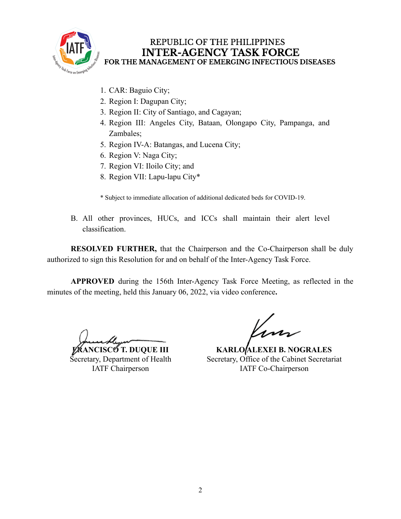

## REPUBLIC OF THE PHILIPPINES **INTER-AGENCY TASK FORCE** FOR THE MANAGEMENT OF EMERGING INFECTIOUS DISEASES

- 1. CAR: Baguio City;
- 2. Region I: Dagupan City;
- 3. Region II: City of Santiago, and Cagayan;
- 4. Region III: Angeles City, Bataan, Olongapo City, Pampanga, and Zambales;
- 5. Region IV-A: Batangas, and Lucena City;
- 6. Region V: Naga City;
- 7. Region VI: Iloilo City; and
- 8. Region VII: Lapu-lapu City\*

\* Subject to immediate allocation of additional dedicated beds for COVID-19.

B. All other provinces, HUCs, and ICCs shall maintain their alert level classification.

**RESOLVED FURTHER,** that the Chairperson and the Co-Chairperson shall be duly authorized to sign this Resolution for and on behalf of the Inter-Agency Task Force.

**APPROVED** during the 156th Inter-Agency Task Force Meeting, as reflected in the minutes of the meeting, held this January 06, 2022, via video conference**.**

**FRANCISCO T. DUQUE III** Secretary, Department of Health IATF Chairperson

**KARLO ALEXEI B. NOGRALES** Secretary, Office of the Cabinet Secretariat IATF Co-Chairperson